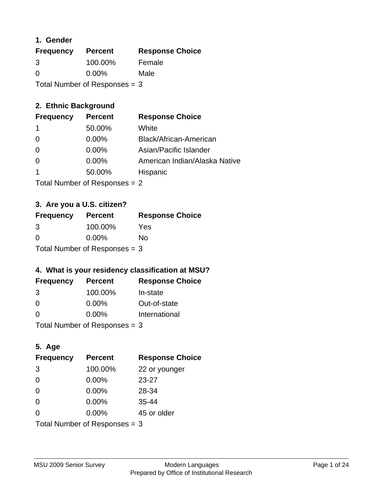### **1. Gender**

| <b>Frequency</b>                | <b>Percent</b> | <b>Response Choice</b> |
|---------------------------------|----------------|------------------------|
| 3                               | 100.00%        | Female                 |
| $\Omega$                        | $0.00\%$       | Male                   |
| Total Number of Responses $=$ 3 |                |                        |

### **2. Ethnic Background**

| <b>Frequency</b> | <b>Percent</b> | <b>Response Choice</b>        |
|------------------|----------------|-------------------------------|
|                  | 50.00%         | White                         |
| $\Omega$         | 0.00%          | Black/African-American        |
| $\Omega$         | $0.00\%$       | Asian/Pacific Islander        |
|                  | 0.00%          | American Indian/Alaska Native |
|                  | 50.00%         | Hispanic                      |
|                  |                |                               |

Total Number of Responses = 2

### **3. Are you a U.S. citizen?**

| <b>Frequency</b>                | <b>Percent</b> | <b>Response Choice</b> |
|---------------------------------|----------------|------------------------|
| 3                               | 100.00%        | Yes                    |
| $\Omega$                        | $0.00\%$       | Nο                     |
| Total Number of Responses $=$ 3 |                |                        |

### **4. What is your residency classification at MSU?**

| <b>Frequency</b> | <b>Percent</b> | <b>Response Choice</b> |
|------------------|----------------|------------------------|
| 3                | 100.00%        | In-state               |
| $\Omega$         | $0.00\%$       | Out-of-state           |
| $\Omega$         | $0.00\%$       | International          |
|                  |                |                        |

Total Number of Responses = 3

### **5. Age**

| <b>Frequency</b>                | <b>Percent</b> | <b>Response Choice</b> |
|---------------------------------|----------------|------------------------|
| 3                               | 100.00%        | 22 or younger          |
| $\Omega$                        | 0.00%          | $23 - 27$              |
| $\Omega$                        | 0.00%          | 28-34                  |
| $\Omega$                        | $0.00\%$       | $35 - 44$              |
| $\Omega$                        | 0.00%          | 45 or older            |
| Total Number of Responses $=$ 3 |                |                        |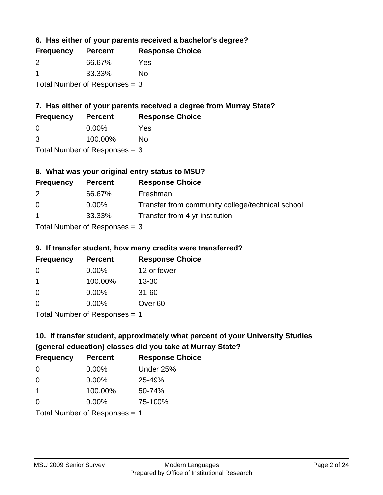**6. Has either of your parents received a bachelor's degree?**

| <b>Frequency</b>                | <b>Percent</b> | <b>Response Choice</b> |
|---------------------------------|----------------|------------------------|
| $\mathcal{P}$                   | 66.67%         | Yes                    |
|                                 | 33.33%         | No                     |
| Total Number of Responses $=$ 3 |                |                        |

# **7. Has either of your parents received a degree from Murray State?**

| <b>Frequency</b> | <b>Percent</b> | <b>Response Choice</b> |
|------------------|----------------|------------------------|
| - 0              | $0.00\%$       | Yes                    |

|  | 3 | 100.00% | <b>No</b> |
|--|---|---------|-----------|
|--|---|---------|-----------|

Total Number of Responses = 3

# **8. What was your original entry status to MSU?**

| <b>Frequency</b>     | <b>Percent</b>                  | <b>Response Choice</b>                           |
|----------------------|---------------------------------|--------------------------------------------------|
| 2                    | 66.67%                          | Freshman                                         |
| $\Omega$             | $0.00\%$                        | Transfer from community college/technical school |
| $\blacktriangleleft$ | 33.33%                          | Transfer from 4-yr institution                   |
|                      | Total Number of Responses $=$ 3 |                                                  |

### **9. If transfer student, how many credits were transferred?**

| <b>Frequency</b>               | <b>Percent</b> | <b>Response Choice</b> |
|--------------------------------|----------------|------------------------|
| -0                             | $0.00\%$       | 12 or fewer            |
| 1                              | 100.00%        | $13 - 30$              |
| -0                             | $0.00\%$       | $31 - 60$              |
| $\Omega$                       | 0.00%          | Over <sub>60</sub>     |
| $Total Number of DoEROROR = 1$ |                |                        |

Total Number of Responses = 1

# **10. If transfer student, approximately what percent of your University Studies (general education) classes did you take at Murray State?**

| <b>Frequency</b>              | <b>Percent</b> | <b>Response Choice</b> |
|-------------------------------|----------------|------------------------|
| $\Omega$                      | $0.00\%$       | Under 25%              |
| $\Omega$                      | 0.00%          | 25-49%                 |
| $\mathbf 1$                   | 100.00%        | 50-74%                 |
| $\Omega$                      | 0.00%          | 75-100%                |
| Total Number of Responses = 1 |                |                        |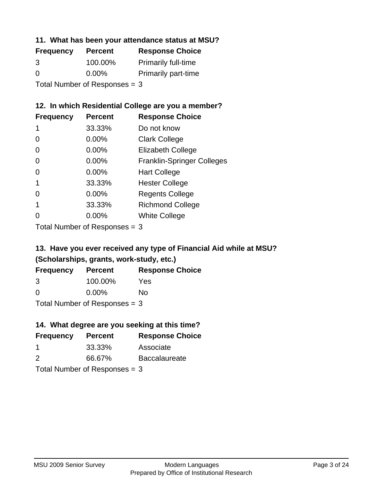### **11. What has been your attendance status at MSU?**

| <b>Frequency</b>              | <b>Percent</b> | <b>Response Choice</b>     |  |
|-------------------------------|----------------|----------------------------|--|
| 3                             | 100.00%        | <b>Primarily full-time</b> |  |
| $\Omega$                      | $0.00\%$       | <b>Primarily part-time</b> |  |
| Total Number of Responses = 3 |                |                            |  |

### **12. In which Residential College are you a member?**

| <b>Frequency</b> | <b>Percent</b> | <b>Response Choice</b>            |
|------------------|----------------|-----------------------------------|
| 1                | 33.33%         | Do not know                       |
| 0                | 0.00%          | <b>Clark College</b>              |
| 0                | 0.00%          | <b>Elizabeth College</b>          |
| 0                | $0.00\%$       | <b>Franklin-Springer Colleges</b> |
| 0                | $0.00\%$       | <b>Hart College</b>               |
| 1                | 33.33%         | <b>Hester College</b>             |
| 0                | $0.00\%$       | <b>Regents College</b>            |
|                  | 33.33%         | <b>Richmond College</b>           |
|                  | $0.00\%$       | <b>White College</b>              |
|                  |                |                                   |

Total Number of Responses = 3

## **13. Have you ever received any type of Financial Aid while at MSU? (Scholarships, grants, work-study, etc.)**

| <b>Frequency</b>                | <b>Percent</b> | <b>Response Choice</b> |
|---------------------------------|----------------|------------------------|
| 3                               | 100.00%        | Yes                    |
| $\Omega$                        | $0.00\%$       | Nο                     |
| Total Number of Responses $=$ 3 |                |                        |

**14. What degree are you seeking at this time?**

| <b>Frequency</b> | <b>Percent</b>                  | <b>Response Choice</b> |
|------------------|---------------------------------|------------------------|
|                  |                                 |                        |
|                  | 33.33%                          | Associate              |
| 2                | 66.67%                          | <b>Baccalaureate</b>   |
|                  | Total Number of Responses $=$ 3 |                        |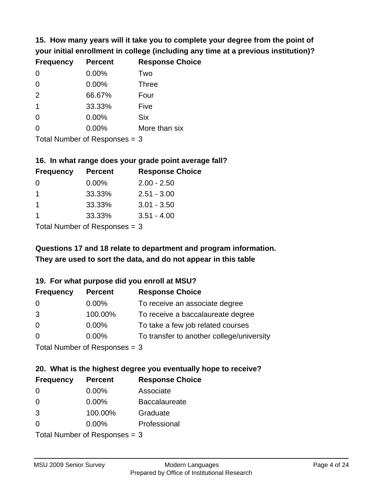**15. How many years will it take you to complete your degree from the point of your initial enrollment in college (including any time at a previous institution)?**

| <b>Frequency</b> | <b>Percent</b> | <b>Response Choice</b> |
|------------------|----------------|------------------------|
| $\Omega$         | 0.00%          | Two                    |
| 0                | 0.00%          | <b>Three</b>           |
| 2                | 66.67%         | Four                   |
| $\mathbf 1$      | 33.33%         | Five                   |
| 0                | 0.00%          | <b>Six</b>             |
| 0                | 0.00%          | More than six          |
|                  |                |                        |

Total Number of Responses = 3

#### **16. In what range does your grade point average fall?**

| <b>Frequency</b> | <b>Percent</b> | <b>Response Choice</b> |
|------------------|----------------|------------------------|
| $\Omega$         | $0.00\%$       | $2.00 - 2.50$          |
|                  | 33.33%         | $2.51 - 3.00$          |
|                  | 33.33%         | $3.01 - 3.50$          |
|                  | 33.33%         | $3.51 - 4.00$          |
|                  |                |                        |

Total Number of Responses = 3

# **They are used to sort the data, and do not appear in this table Questions 17 and 18 relate to department and program information.**

#### **19. For what purpose did you enroll at MSU?**

| <b>Frequency</b>            | <b>Percent</b> | <b>Response Choice</b>                    |
|-----------------------------|----------------|-------------------------------------------|
| 0                           | $0.00\%$       | To receive an associate degree            |
| 3                           | 100.00%        | To receive a baccalaureate degree         |
| $\overline{0}$              | $0.00\%$       | To take a few job related courses         |
| $\Omega$                    | 0.00%          | To transfer to another college/university |
| Total Number of Despasses 2 |                |                                           |

Total Number of Responses = 3

# **20. What is the highest degree you eventually hope to receive?**

| <b>Frequency</b> | <b>Percent</b>                | <b>Response Choice</b> |
|------------------|-------------------------------|------------------------|
| 0                | $0.00\%$                      | Associate              |
| $\overline{0}$   | $0.00\%$                      | <b>Baccalaureate</b>   |
| 3                | 100.00%                       | Graduate               |
| 0                | 0.00%                         | Professional           |
|                  | $Total Number of Denonce = 2$ |                        |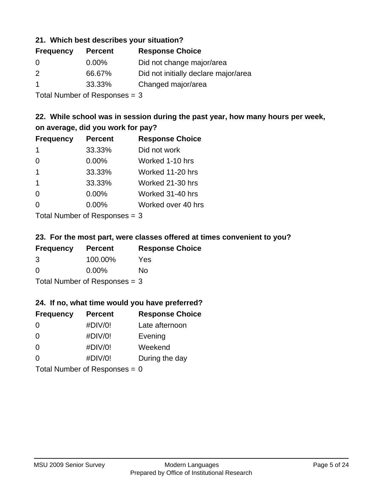### **21. Which best describes your situation?**

| <b>Frequency</b> | <b>Percent</b> | <b>Response Choice</b>               |
|------------------|----------------|--------------------------------------|
| $\Omega$         | $0.00\%$       | Did not change major/area            |
| 2                | 66.67%         | Did not initially declare major/area |
|                  | 33.33%         | Changed major/area                   |

Total Number of Responses = 3

### **22. While school was in session during the past year, how many hours per week, on average, did you work for pay?**

| <b>Frequency</b>        | <b>Percent</b> | <b>Response Choice</b> |
|-------------------------|----------------|------------------------|
| -1                      | 33.33%         | Did not work           |
| $\Omega$                | 0.00%          | Worked 1-10 hrs        |
| $\mathbf 1$             | 33.33%         | Worked 11-20 hrs       |
| $\overline{\mathbf{1}}$ | 33.33%         | Worked 21-30 hrs       |
| $\Omega$                | 0.00%          | Worked 31-40 hrs       |
| $\Omega$                | 0.00%          | Worked over 40 hrs     |
|                         |                |                        |

Total Number of Responses = 3

#### **23. For the most part, were classes offered at times convenient to you?**

| <b>Frequency</b>                | <b>Percent</b> | <b>Response Choice</b> |
|---------------------------------|----------------|------------------------|
| 3                               | 100.00%        | Yes                    |
| $\Omega$                        | $0.00\%$       | Nο                     |
| Total Number of Responses $=$ 3 |                |                        |

#### **24. If no, what time would you have preferred?**

| <b>Frequency</b> | <b>Percent</b>                  | <b>Response Choice</b> |
|------------------|---------------------------------|------------------------|
| $\Omega$         | #DIV/0!                         | Late afternoon         |
| 0                | #DIV/0!                         | Evening                |
| 0                | #DIV/0!                         | Weekend                |
| $\Omega$         | #DIV/0!                         | During the day         |
|                  | Total Number of Responses = $0$ |                        |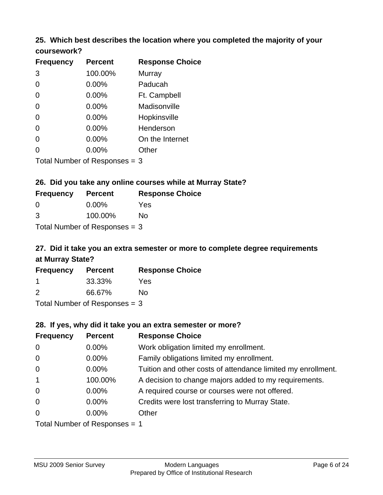#### **25. Which best describes the location where you completed the majority of your coursework?**

| <b>Frequency</b>           | <b>Percent</b> | <b>Response Choice</b> |
|----------------------------|----------------|------------------------|
| 3                          | 100.00%        | Murray                 |
| $\overline{0}$             | 0.00%          | Paducah                |
| 0                          | 0.00%          | Ft. Campbell           |
| $\overline{0}$             | 0.00%          | Madisonville           |
| $\Omega$                   | 0.00%          | Hopkinsville           |
| 0                          | 0.00%          | Henderson              |
| 0                          | 0.00%          | On the Internet        |
| 0                          | 0.00%          | Other                  |
| Tetal Number of Desperance |                | ⌒                      |

Total Number of Responses = 3

#### **26. Did you take any online courses while at Murray State?**

| <b>Frequency</b>                | <b>Percent</b> | <b>Response Choice</b> |
|---------------------------------|----------------|------------------------|
| - 0                             | $0.00\%$       | Yes                    |
| $\mathcal{B}$                   | 100.00%        | No                     |
| Total Number of Responses $=$ 3 |                |                        |

# **27. Did it take you an extra semester or more to complete degree requirements at Murray State?**

| <b>Frequency</b> | <b>Percent</b>             | <b>Response Choice</b> |
|------------------|----------------------------|------------------------|
|                  | 33.33%                     | Yes                    |
| 2                | 66.67%                     | Nο                     |
|                  | Tatal Number of Desperance |                        |

Total Number of Responses = 3

#### **28. If yes, why did it take you an extra semester or more?**

| <b>Frequency</b>                | <b>Percent</b> | <b>Response Choice</b>                                       |
|---------------------------------|----------------|--------------------------------------------------------------|
| $\mathbf 0$                     | 0.00%          | Work obligation limited my enrollment.                       |
| $\mathbf 0$                     | 0.00%          | Family obligations limited my enrollment.                    |
| $\mathbf 0$                     | 0.00%          | Tuition and other costs of attendance limited my enrollment. |
| $\overline{1}$                  | 100.00%        | A decision to change majors added to my requirements.        |
| $\mathbf 0$                     | $0.00\%$       | A required course or courses were not offered.               |
| $\mathbf 0$                     | $0.00\%$       | Credits were lost transferring to Murray State.              |
| $\mathbf 0$                     | $0.00\%$       | Other                                                        |
| Total Number of Responses $= 1$ |                |                                                              |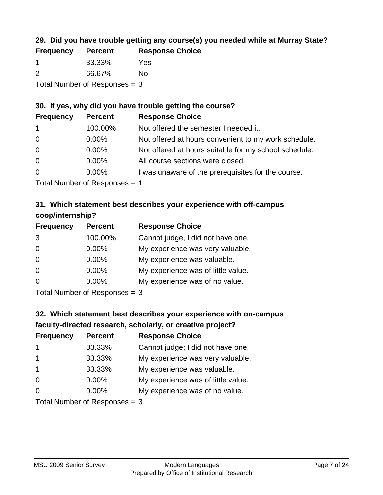### **29. Did you have trouble getting any course(s) you needed while at Murray State?**

| <b>Frequency</b>                | <b>Percent</b> | <b>Response Choice</b> |
|---------------------------------|----------------|------------------------|
|                                 | 33.33%         | Yes                    |
| $\mathcal{P}$                   | 66.67%         | No.                    |
| Total Number of Responses $=$ 3 |                |                        |

### **30. If yes, why did you have trouble getting the course?**

| <b>Frequency</b> | <b>Percent</b> | <b>Response Choice</b>                                |
|------------------|----------------|-------------------------------------------------------|
| $\mathbf{1}$     | 100.00%        | Not offered the semester I needed it.                 |
| $\overline{0}$   | $0.00\%$       | Not offered at hours convenient to my work schedule.  |
| $\overline{0}$   | $0.00\%$       | Not offered at hours suitable for my school schedule. |
| $\overline{0}$   | $0.00\%$       | All course sections were closed.                      |
| $\overline{0}$   | $0.00\%$       | I was unaware of the prerequisites for the course.    |
|                  |                |                                                       |

Total Number of Responses = 1

### **31. Which statement best describes your experience with off-campus coop/internship?**

| <b>Frequency</b> | <b>Percent</b>               | <b>Response Choice</b>             |
|------------------|------------------------------|------------------------------------|
| 3                | 100.00%                      | Cannot judge, I did not have one.  |
| $\Omega$         | 0.00%                        | My experience was very valuable.   |
| $\Omega$         | $0.00\%$                     | My experience was valuable.        |
| $\Omega$         | 0.00%                        | My experience was of little value. |
| $\Omega$         | 0.00%                        | My experience was of no value.     |
|                  | $T$ and Number of Decomposed |                                    |

Total Number of Responses = 3

# **32. Which statement best describes your experience with on-campus faculty-directed research, scholarly, or creative project?**

| <b>Frequency</b>        | <b>Percent</b>             | <b>Response Choice</b>             |
|-------------------------|----------------------------|------------------------------------|
| $\mathbf 1$             | 33.33%                     | Cannot judge; I did not have one.  |
| $\overline{\mathbf{1}}$ | 33.33%                     | My experience was very valuable.   |
| $\mathbf 1$             | 33.33%                     | My experience was valuable.        |
| $\Omega$                | $0.00\%$                   | My experience was of little value. |
| $\Omega$                | 0.00%                      | My experience was of no value.     |
|                         | Tatal Number of Desperance |                                    |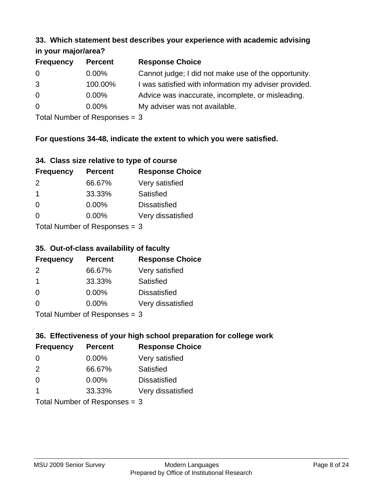#### **33. Which statement best describes your experience with academic advising in your major/area?**

| $\cdots$ your mapproved. |                |                                                       |
|--------------------------|----------------|-------------------------------------------------------|
| <b>Frequency</b>         | <b>Percent</b> | <b>Response Choice</b>                                |
| 0                        | $0.00\%$       | Cannot judge; I did not make use of the opportunity.  |
| 3                        | 100.00%        | I was satisfied with information my adviser provided. |
| $\overline{0}$           | 0.00%          | Advice was inaccurate, incomplete, or misleading.     |
| $\overline{0}$           | $0.00\%$       | My adviser was not available.                         |
|                          |                |                                                       |

Total Number of Responses = 3

### **For questions 34-48, indicate the extent to which you were satisfied.**

| 34. Class size relative to type of course |
|-------------------------------------------|
|-------------------------------------------|

| <b>Frequency</b>               | <b>Percent</b> | <b>Response Choice</b> |  |
|--------------------------------|----------------|------------------------|--|
| 2                              | 66.67%         | Very satisfied         |  |
| -1                             | 33.33%         | Satisfied              |  |
| $\Omega$                       | 0.00%          | <b>Dissatisfied</b>    |  |
| $\Omega$                       | $0.00\%$       | Very dissatisfied      |  |
| Total Number of Reconnege $-2$ |                |                        |  |

Total Number of Responses  $=$  3

### **35. Out-of-class availability of faculty**

| <b>Frequency</b> | <b>Percent</b>            | <b>Response Choice</b> |
|------------------|---------------------------|------------------------|
| $\mathcal{P}$    | 66.67%                    | Very satisfied         |
| -1               | 33.33%                    | Satisfied              |
| $\Omega$         | $0.00\%$                  | <b>Dissatisfied</b>    |
| $\Omega$         | 0.00%                     | Very dissatisfied      |
|                  | Total Number of Deepensee |                        |

Total Number of Responses = 3

## **36. Effectiveness of your high school preparation for college work**

| <b>Frequency</b> | <b>Percent</b>                  | <b>Response Choice</b> |
|------------------|---------------------------------|------------------------|
| $\Omega$         | $0.00\%$                        | Very satisfied         |
| 2                | 66.67%                          | Satisfied              |
| $\Omega$         | $0.00\%$                        | <b>Dissatisfied</b>    |
| -1               | 33.33%                          | Very dissatisfied      |
|                  | Total Number of Responses = $3$ |                        |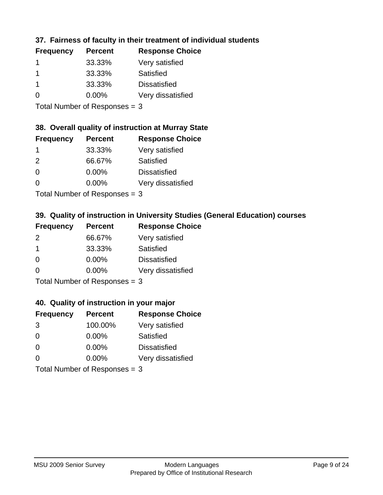### **37. Fairness of faculty in their treatment of individual students**

| <b>Frequency</b> | <b>Percent</b> | <b>Response Choice</b> |
|------------------|----------------|------------------------|
|                  | 33.33%         | Very satisfied         |
|                  | 33.33%         | Satisfied              |
|                  | 33.33%         | <b>Dissatisfied</b>    |
| $\Omega$         | $0.00\%$       | Very dissatisfied      |
|                  |                |                        |

Total Number of Responses = 3

#### **38. Overall quality of instruction at Murray State**

| <b>Frequency</b> | <b>Percent</b> | <b>Response Choice</b> |
|------------------|----------------|------------------------|
|                  | 33.33%         | Very satisfied         |
| $\mathcal{P}$    | 66.67%         | Satisfied              |
| $\Omega$         | 0.00%          | <b>Dissatisfied</b>    |
| $\Omega$         | 0.00%          | Very dissatisfied      |
|                  |                |                        |

Total Number of Responses  $= 3$ 

### **39. Quality of instruction in University Studies (General Education) courses**

| <b>Frequency</b> | <b>Percent</b>              | <b>Response Choice</b> |
|------------------|-----------------------------|------------------------|
| 2                | 66.67%                      | Very satisfied         |
| -1               | 33.33%                      | Satisfied              |
| $\Omega$         | 0.00%                       | <b>Dissatisfied</b>    |
| $\Omega$         | 0.00%                       | Very dissatisfied      |
|                  | Tatal Manuala and Dannanana |                        |

Total Number of Responses = 3

#### **40. Quality of instruction in your major**

| <b>Frequency</b>                | <b>Percent</b> | <b>Response Choice</b> |
|---------------------------------|----------------|------------------------|
| 3                               | 100.00%        | Very satisfied         |
| $\Omega$                        | $0.00\%$       | <b>Satisfied</b>       |
| $\Omega$                        | 0.00%          | <b>Dissatisfied</b>    |
| $\Omega$                        | 0.00%          | Very dissatisfied      |
| $Total$ Number of Despasses $-$ |                |                        |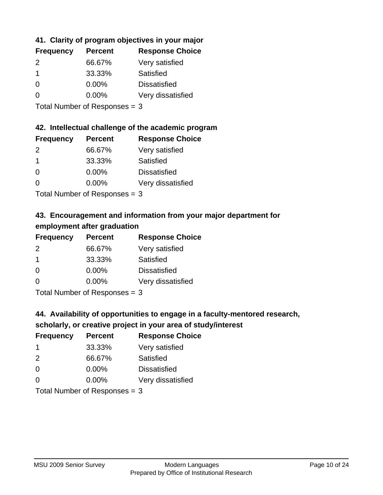### **41. Clarity of program objectives in your major**

| <b>Frequency</b> | <b>Percent</b> | <b>Response Choice</b> |
|------------------|----------------|------------------------|
| $\mathcal{P}$    | 66.67%         | Very satisfied         |
|                  | 33.33%         | Satisfied              |
| $\Omega$         | $0.00\%$       | <b>Dissatisfied</b>    |
| $\Omega$         | $0.00\%$       | Very dissatisfied      |
|                  |                |                        |

Total Number of Responses = 3

#### **42. Intellectual challenge of the academic program**

| <b>Frequency</b> | <b>Percent</b> | <b>Response Choice</b> |
|------------------|----------------|------------------------|
| 2                | 66.67%         | Very satisfied         |
| -1               | 33.33%         | Satisfied              |
| $\Omega$         | 0.00%          | <b>Dissatisfied</b>    |
| $\Omega$         | 0.00%          | Very dissatisfied      |
|                  |                |                        |

Total Number of Responses = 3

### **43. Encouragement and information from your major department for employment after graduation**

| <b>Frequency</b>     | <b>Percent</b> | <b>Response Choice</b> |
|----------------------|----------------|------------------------|
| 2                    | 66.67%         | Very satisfied         |
| $\blacktriangleleft$ | 33.33%         | Satisfied              |
| 0                    | $0.00\%$       | <b>Dissatisfied</b>    |
| $\Omega$             | 0.00%          | Very dissatisfied      |
|                      |                |                        |

Total Number of Responses = 3

### **44. Availability of opportunities to engage in a faculty-mentored research,**

### **scholarly, or creative project in your area of study/interest**

| <b>Frequency</b> | <b>Percent</b> | <b>Response Choice</b> |
|------------------|----------------|------------------------|
|                  | 33.33%         | Very satisfied         |
| $\mathcal{P}$    | 66.67%         | Satisfied              |
| $\Omega$         | 0.00%          | <b>Dissatisfied</b>    |
| $\Omega$         | 0.00%          | Very dissatisfied      |
|                  |                |                        |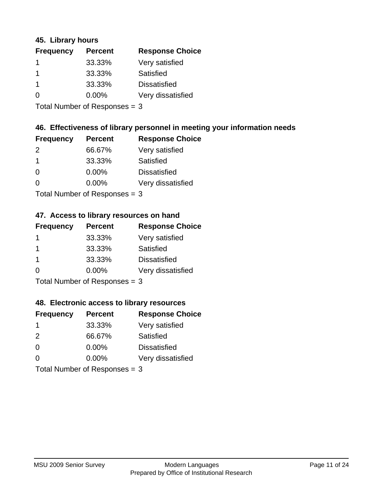### **45. Library hours**

| <b>Frequency</b> | <b>Percent</b> | <b>Response Choice</b> |
|------------------|----------------|------------------------|
|                  | 33.33%         | Very satisfied         |
| 1                | 33.33%         | Satisfied              |
| $\mathbf 1$      | 33.33%         | <b>Dissatisfied</b>    |
| 0                | $0.00\%$       | Very dissatisfied      |
|                  |                |                        |

Total Number of Responses = 3

### **46. Effectiveness of library personnel in meeting your information needs**

| <b>Frequency</b> | <b>Percent</b> | <b>Response Choice</b> |
|------------------|----------------|------------------------|
| $\mathcal{P}$    | 66.67%         | Very satisfied         |
|                  | 33.33%         | Satisfied              |
| $\Omega$         | $0.00\%$       | <b>Dissatisfied</b>    |
| ∩                | $0.00\%$       | Very dissatisfied      |
|                  |                |                        |

Total Number of Responses = 3

#### **47. Access to library resources on hand**

| <b>Frequency</b>                                  | <b>Percent</b> | <b>Response Choice</b> |
|---------------------------------------------------|----------------|------------------------|
|                                                   | 33.33%         | Very satisfied         |
|                                                   | 33.33%         | Satisfied              |
| -1                                                | 33.33%         | <b>Dissatisfied</b>    |
| ∩                                                 | 0.00%          | Very dissatisfied      |
| $T$ at all Matters because of $D$ and a second of |                |                        |

Total Number of Responses = 3

#### **48. Electronic access to library resources**

| <b>Frequency</b>              | <b>Percent</b> | <b>Response Choice</b> |
|-------------------------------|----------------|------------------------|
| -1                            | 33.33%         | Very satisfied         |
| 2                             | 66.67%         | Satisfied              |
| $\Omega$                      | $0.00\%$       | <b>Dissatisfied</b>    |
| $\Omega$                      | $0.00\%$       | Very dissatisfied      |
| Total Number of Responses = 3 |                |                        |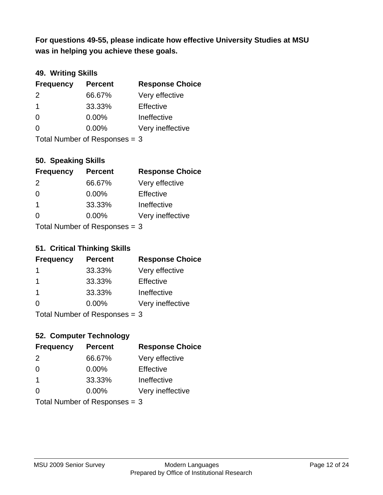**was in helping you achieve these goals. For questions 49-55, please indicate how effective University Studies at MSU** 

### **49. Writing Skills**

| <b>Frequency</b>              | <b>Percent</b> | <b>Response Choice</b> |
|-------------------------------|----------------|------------------------|
| $\mathcal{P}$                 | 66.67%         | Very effective         |
| $\overline{1}$                | 33.33%         | Effective              |
| $\Omega$                      | $0.00\%$       | Ineffective            |
| $\Omega$                      | $0.00\%$       | Very ineffective       |
| Total Number of Responses = 3 |                |                        |

### **50. Speaking Skills**

| <b>Frequency</b>                | <b>Percent</b> | <b>Response Choice</b> |
|---------------------------------|----------------|------------------------|
| $\mathcal{P}$                   | 66.67%         | Very effective         |
| $\Omega$                        | 0.00%          | Effective              |
| $\mathbf 1$                     | 33.33%         | Ineffective            |
| $\Omega$                        | $0.00\%$       | Very ineffective       |
| Total Number of Responses $=$ 3 |                |                        |

#### **51. Critical Thinking Skills**

| <b>Frequency</b>              | <b>Percent</b> | <b>Response Choice</b> |
|-------------------------------|----------------|------------------------|
| -1                            | 33.33%         | Very effective         |
| -1                            | 33.33%         | Effective              |
| $\mathbf 1$                   | 33.33%         | Ineffective            |
| $\Omega$                      | $0.00\%$       | Very ineffective       |
| Total Number of Responses = 3 |                |                        |

# **52. Computer Technology**

| <b>Frequency</b>              | <b>Percent</b> | <b>Response Choice</b> |
|-------------------------------|----------------|------------------------|
| 2                             | 66.67%         | Very effective         |
| 0                             | $0.00\%$       | Effective              |
| $\overline{1}$                | 33.33%         | Ineffective            |
| $\Omega$                      | $0.00\%$       | Very ineffective       |
| Total Number of Responses = 3 |                |                        |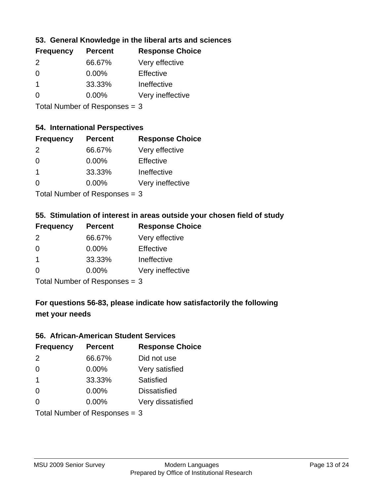### **53. General Knowledge in the liberal arts and sciences**

| <b>Frequency</b> | <b>Percent</b> | <b>Response Choice</b> |
|------------------|----------------|------------------------|
| $\mathcal{P}$    | 66.67%         | Very effective         |
| $\Omega$         | $0.00\%$       | Effective              |
|                  | 33.33%         | Ineffective            |
| $\Omega$         | 0.00%          | Very ineffective       |
|                  |                |                        |

Total Number of Responses = 3

#### **54. International Perspectives**

| <b>Frequency</b> | <b>Percent</b> | <b>Response Choice</b> |
|------------------|----------------|------------------------|
| $\mathcal{P}$    | 66.67%         | Very effective         |
| $\Omega$         | 0.00%          | Effective              |
| 1                | 33.33%         | Ineffective            |
| ∩                | 0.00%          | Very ineffective       |
|                  |                |                        |

Total Number of Responses = 3

### **55. Stimulation of interest in areas outside your chosen field of study**

| <b>Frequency</b> | <b>Percent</b>            | <b>Response Choice</b> |
|------------------|---------------------------|------------------------|
| 2                | 66.67%                    | Very effective         |
| $\Omega$         | 0.00%                     | Effective              |
| -1               | 33.33%                    | Ineffective            |
| $\Omega$         | 0.00%                     | Very ineffective       |
|                  | Total Number of Desponses |                        |

I otal Number of Responses  $=$  3

# **For questions 56-83, please indicate how satisfactorily the following met your needs**

#### **56. African-American Student Services**

| <b>Frequency</b> | <b>Percent</b>                | <b>Response Choice</b> |
|------------------|-------------------------------|------------------------|
| 2                | 66.67%                        | Did not use            |
| $\Omega$         | $0.00\%$                      | Very satisfied         |
| $\overline{1}$   | 33.33%                        | Satisfied              |
| $\Omega$         | 0.00%                         | <b>Dissatisfied</b>    |
| $\Omega$         | 0.00%                         | Very dissatisfied      |
|                  | Total Number of Responses = 3 |                        |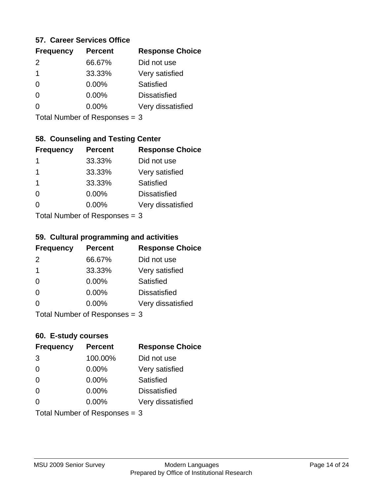#### **57. Career Services Office**

| <b>Frequency</b> | <b>Percent</b> | <b>Response Choice</b> |
|------------------|----------------|------------------------|
| $\mathcal{P}$    | 66.67%         | Did not use            |
| 1                | 33.33%         | Very satisfied         |
| 0                | $0.00\%$       | <b>Satisfied</b>       |
| O                | 0.00%          | <b>Dissatisfied</b>    |
|                  | $0.00\%$       | Very dissatisfied      |
|                  |                |                        |

Total Number of Responses = 3

### **58. Counseling and Testing Center**

| <b>Frequency</b> | <b>Percent</b>            | <b>Response Choice</b> |
|------------------|---------------------------|------------------------|
| 1                | 33.33%                    | Did not use            |
| 1                | 33.33%                    | Very satisfied         |
| 1                | 33.33%                    | Satisfied              |
| $\Omega$         | 0.00%                     | <b>Dissatisfied</b>    |
| ∩                | 0.00%                     | Very dissatisfied      |
|                  | Total Number of Desponses |                        |

Total Number of Responses = 3

#### **59. Cultural programming and activities**

| <b>Frequency</b>            | <b>Percent</b> | <b>Response Choice</b> |
|-----------------------------|----------------|------------------------|
| $\mathcal{P}$               | 66.67%         | Did not use            |
| $\mathbf 1$                 | 33.33%         | Very satisfied         |
| $\Omega$                    | $0.00\%$       | <b>Satisfied</b>       |
| $\Omega$                    | $0.00\%$       | <b>Dissatisfied</b>    |
| $\Omega$                    | 0.00%          | Very dissatisfied      |
| Total Number of Despanses 2 |                |                        |

Total Number of Responses = 3

#### **60. E-study courses**

| <b>Frequency</b> | <b>Percent</b>                | <b>Response Choice</b> |
|------------------|-------------------------------|------------------------|
| 3                | 100.00%                       | Did not use            |
| $\Omega$         | 0.00%                         | Very satisfied         |
| $\Omega$         | 0.00%                         | Satisfied              |
| $\Omega$         | 0.00%                         | <b>Dissatisfied</b>    |
| $\Omega$         | $0.00\%$                      | Very dissatisfied      |
|                  | Total Number of Responses = 3 |                        |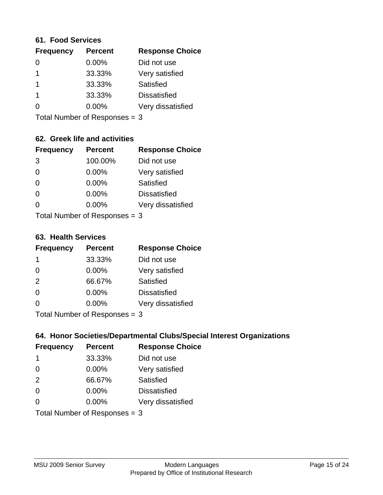#### **61. Food Services**

| <b>Frequency</b> | <b>Percent</b> | <b>Response Choice</b> |
|------------------|----------------|------------------------|
| 0                | 0.00%          | Did not use            |
|                  | 33.33%         | Very satisfied         |
|                  | 33.33%         | Satisfied              |
|                  | 33.33%         | <b>Dissatisfied</b>    |
| ∩                | $0.00\%$       | Very dissatisfied      |
|                  |                |                        |

Total Number of Responses = 3

### **62. Greek life and activities**

| <b>Frequency</b> | <b>Percent</b>                  | <b>Response Choice</b> |
|------------------|---------------------------------|------------------------|
| 3                | 100.00%                         | Did not use            |
| 0                | 0.00%                           | Very satisfied         |
| $\Omega$         | 0.00%                           | Satisfied              |
| $\Omega$         | 0.00%                           | <b>Dissatisfied</b>    |
| O                | $0.00\%$                        | Very dissatisfied      |
|                  | Total Number of Responses $=$ 3 |                        |

**63. Health Services**

| <b>Frequency</b> | <b>Percent</b>            | <b>Response Choice</b> |
|------------------|---------------------------|------------------------|
| -1               | 33.33%                    | Did not use            |
| $\Omega$         | $0.00\%$                  | Very satisfied         |
| 2                | 66.67%                    | Satisfied              |
| $\Omega$         | $0.00\%$                  | <b>Dissatisfied</b>    |
| $\Omega$         | 0.00%                     | Very dissatisfied      |
|                  | Total Number of Desponses |                        |

Total Number of Responses = 3

### **64. Honor Societies/Departmental Clubs/Special Interest Organizations**

| <b>Frequency</b>              | <b>Percent</b> | <b>Response Choice</b> |
|-------------------------------|----------------|------------------------|
| 1                             | 33.33%         | Did not use            |
| $\Omega$                      | 0.00%          | Very satisfied         |
| 2                             | 66.67%         | Satisfied              |
| $\Omega$                      | 0.00%          | <b>Dissatisfied</b>    |
| $\Omega$                      | 0.00%          | Very dissatisfied      |
| Total Number of Responses = 3 |                |                        |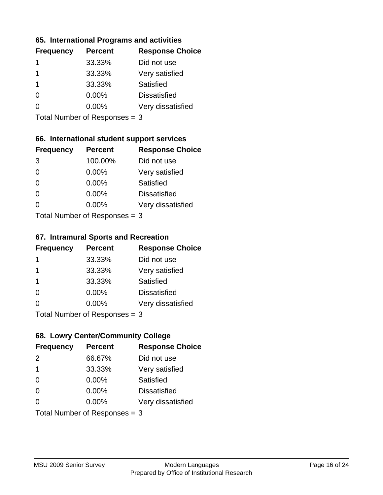### **65. International Programs and activities**

| <b>Frequency</b> | <b>Percent</b> | <b>Response Choice</b> |
|------------------|----------------|------------------------|
|                  | 33.33%         | Did not use            |
|                  | 33.33%         | Very satisfied         |
|                  | 33.33%         | Satisfied              |
| 0                | $0.00\%$       | <b>Dissatisfied</b>    |
|                  | 0.00%          | Very dissatisfied      |
|                  |                |                        |

Total Number of Responses = 3

### **66. International student support services**

| <b>Frequency</b> | <b>Percent</b>            | <b>Response Choice</b> |
|------------------|---------------------------|------------------------|
| 3                | 100.00%                   | Did not use            |
| $\Omega$         | 0.00%                     | Very satisfied         |
| $\Omega$         | 0.00%                     | Satisfied              |
| $\Omega$         | 0.00%                     | <b>Dissatisfied</b>    |
| 0                | 0.00%                     | Very dissatisfied      |
|                  | Total Number of DoEROR 0. |                        |

Total Number of Responses = 3

#### **67. Intramural Sports and Recreation**

| <b>Frequency</b> | <b>Percent</b>                | <b>Response Choice</b> |
|------------------|-------------------------------|------------------------|
| 1                | 33.33%                        | Did not use            |
| $\mathbf 1$      | 33.33%                        | Very satisfied         |
| -1               | 33.33%                        | <b>Satisfied</b>       |
| $\Omega$         | $0.00\%$                      | <b>Dissatisfied</b>    |
| ∩                | $0.00\%$                      | Very dissatisfied      |
|                  | $Total Number of Denonce = 2$ |                        |

Total Number of Responses = 3

### **68. Lowry Center/Community College**

| <b>Frequency</b>        | <b>Percent</b>                | <b>Response Choice</b> |
|-------------------------|-------------------------------|------------------------|
| $\mathcal{P}$           | 66.67%                        | Did not use            |
| $\overline{\mathbf{1}}$ | 33.33%                        | Very satisfied         |
| $\Omega$                | 0.00%                         | Satisfied              |
| $\Omega$                | 0.00%                         | <b>Dissatisfied</b>    |
| $\Omega$                | $0.00\%$                      | Very dissatisfied      |
|                         | Total Number of Responses = 3 |                        |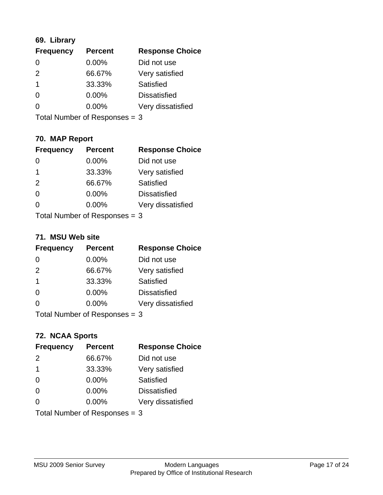### **69. Library**

| <b>Frequency</b> | <b>Percent</b> | <b>Response Choice</b> |
|------------------|----------------|------------------------|
| 0                | 0.00%          | Did not use            |
| $\mathcal{P}$    | 66.67%         | Very satisfied         |
| -1               | 33.33%         | Satisfied              |
| $\Omega$         | $0.00\%$       | <b>Dissatisfied</b>    |
| O                | $0.00\%$       | Very dissatisfied      |
|                  |                |                        |

Total Number of Responses = 3

### **70. MAP Report**

| <b>Frequency</b>                | <b>Percent</b> | <b>Response Choice</b> |
|---------------------------------|----------------|------------------------|
|                                 | 0.00%          | Did not use            |
| -1                              | 33.33%         | Very satisfied         |
| 2                               | 66.67%         | Satisfied              |
| $\Omega$                        | 0.00%          | <b>Dissatisfied</b>    |
| 0                               | 0.00%          | Very dissatisfied      |
| Total Number of Responses $=$ 3 |                |                        |

#### **71. MSU Web site**

| <b>Frequency</b> | <b>Percent</b>                | <b>Response Choice</b> |
|------------------|-------------------------------|------------------------|
| $\Omega$         | $0.00\%$                      | Did not use            |
| 2                | 66.67%                        | Very satisfied         |
| -1               | 33.33%                        | Satisfied              |
| $\Omega$         | 0.00%                         | <b>Dissatisfied</b>    |
| ∩                | 0.00%                         | Very dissatisfied      |
|                  | Total Number of Responses = 3 |                        |

### **72. NCAA Sports**

| <b>Frequency</b> | <b>Percent</b>                  | <b>Response Choice</b> |
|------------------|---------------------------------|------------------------|
| 2                | 66.67%                          | Did not use            |
| $\mathbf 1$      | 33.33%                          | Very satisfied         |
| $\Omega$         | 0.00%                           | Satisfied              |
| $\Omega$         | 0.00%                           | <b>Dissatisfied</b>    |
| $\Omega$         | $0.00\%$                        | Very dissatisfied      |
|                  | Total Number of Responses = $3$ |                        |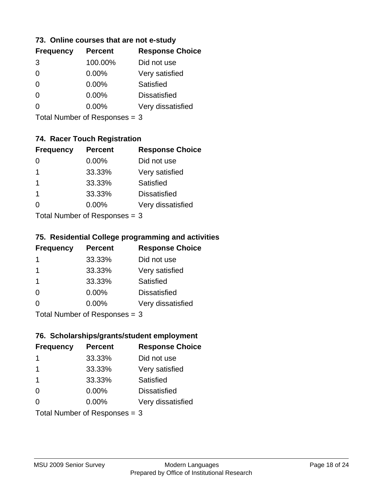### **73. Online courses that are not e-study**

| <b>Frequency</b> | <b>Percent</b> | <b>Response Choice</b> |
|------------------|----------------|------------------------|
| 3                | 100.00%        | Did not use            |
|                  | 0.00%          | Very satisfied         |
|                  | $0.00\%$       | Satisfied              |
|                  | $0.00\%$       | <b>Dissatisfied</b>    |
|                  | $0.00\%$       | Very dissatisfied      |
|                  |                |                        |

Total Number of Responses = 3

### **74. Racer Touch Registration**

| <b>Frequency</b>          | <b>Percent</b> | <b>Response Choice</b> |
|---------------------------|----------------|------------------------|
| 0                         | 0.00%          | Did not use            |
| 1                         | 33.33%         | Very satisfied         |
| 1                         | 33.33%         | Satisfied              |
| 1                         | 33.33%         | <b>Dissatisfied</b>    |
| $\Omega$                  | 0.00%          | Very dissatisfied      |
| Total Number of Desponses |                |                        |

Total Number of Responses = 3

### **75. Residential College programming and activities**

| <b>Frequency</b>              | <b>Percent</b> | <b>Response Choice</b> |
|-------------------------------|----------------|------------------------|
| $\mathbf 1$                   | 33.33%         | Did not use            |
| -1                            | 33.33%         | Very satisfied         |
| -1                            | 33.33%         | Satisfied              |
| $\Omega$                      | $0.00\%$       | <b>Dissatisfied</b>    |
| $\Omega$                      | $0.00\%$       | Very dissatisfied      |
| Total Number of Responses = 3 |                |                        |

# **76. Scholarships/grants/student employment**

| <b>Frequency</b>                | <b>Percent</b> | <b>Response Choice</b> |
|---------------------------------|----------------|------------------------|
| -1                              | 33.33%         | Did not use            |
| 1                               | 33.33%         | Very satisfied         |
| $\mathbf 1$                     | 33.33%         | Satisfied              |
| $\Omega$                        | 0.00%          | <b>Dissatisfied</b>    |
| $\Omega$                        | 0.00%          | Very dissatisfied      |
| Total Number of Responses = $3$ |                |                        |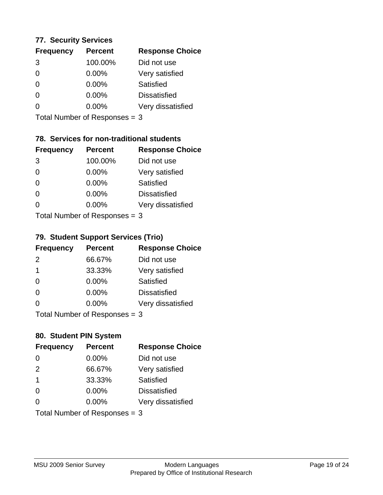### **77. Security Services**

| <b>Frequency</b> | <b>Percent</b> | <b>Response Choice</b> |
|------------------|----------------|------------------------|
| 3                | 100.00%        | Did not use            |
| 0                | 0.00%          | Very satisfied         |
| $\Omega$         | $0.00\%$       | Satisfied              |
| ∩                | $0.00\%$       | <b>Dissatisfied</b>    |
|                  | $0.00\%$       | Very dissatisfied      |
|                  |                |                        |

Total Number of Responses = 3

### **78. Services for non-traditional students**

| <b>Frequency</b> | <b>Percent</b>            | <b>Response Choice</b> |
|------------------|---------------------------|------------------------|
| 3                | 100.00%                   | Did not use            |
| $\Omega$         | 0.00%                     | Very satisfied         |
| $\Omega$         | $0.00\%$                  | <b>Satisfied</b>       |
| $\Omega$         | 0.00%                     | <b>Dissatisfied</b>    |
| 0                | 0.00%                     | Very dissatisfied      |
|                  | Total Number of DoEROR 0. |                        |

Total Number of Responses = 3

#### **79. Student Support Services (Trio)**

| <b>Frequency</b>          | <b>Percent</b> | <b>Response Choice</b> |
|---------------------------|----------------|------------------------|
| $\mathcal{P}$             | 66.67%         | Did not use            |
| $\mathbf 1$               | 33.33%         | Very satisfied         |
| $\Omega$                  | $0.00\%$       | Satisfied              |
| $\Omega$                  | $0.00\%$       | <b>Dissatisfied</b>    |
| ∩                         | 0.00%          | Very dissatisfied      |
| Total Number of Desponses |                |                        |

Total Number of Responses = 3

### **80. Student PIN System**

| <b>Frequency</b>        | <b>Percent</b>                | <b>Response Choice</b> |
|-------------------------|-------------------------------|------------------------|
| 0                       | 0.00%                         | Did not use            |
| 2                       | 66.67%                        | Very satisfied         |
| $\overline{\mathbf{1}}$ | 33.33%                        | Satisfied              |
| $\Omega$                | $0.00\%$                      | <b>Dissatisfied</b>    |
| $\Omega$                | $0.00\%$                      | Very dissatisfied      |
|                         | Total Number of Responses = 3 |                        |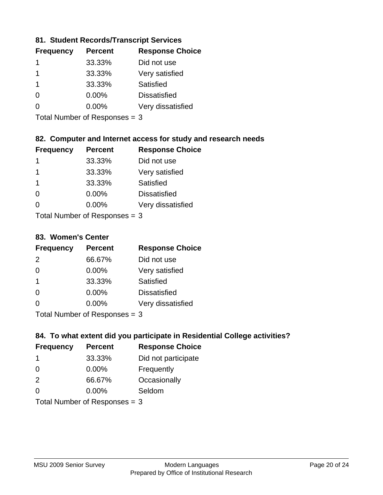### **81. Student Records/Transcript Services**

| <b>Frequency</b> | <b>Percent</b> | <b>Response Choice</b> |
|------------------|----------------|------------------------|
|                  | 33.33%         | Did not use            |
|                  | 33.33%         | Very satisfied         |
|                  | 33.33%         | Satisfied              |
| ∩                | 0.00%          | <b>Dissatisfied</b>    |
|                  | $0.00\%$       | Very dissatisfied      |

Total Number of Responses = 3

### **82. Computer and Internet access for study and research needs**

| <b>Frequency</b> | <b>Percent</b>                                                                                                                                                                                                                 | <b>Response Choice</b> |
|------------------|--------------------------------------------------------------------------------------------------------------------------------------------------------------------------------------------------------------------------------|------------------------|
| 1                | 33.33%                                                                                                                                                                                                                         | Did not use            |
| 1                | 33.33%                                                                                                                                                                                                                         | Very satisfied         |
| 1                | 33.33%                                                                                                                                                                                                                         | Satisfied              |
| $\Omega$         | 0.00%                                                                                                                                                                                                                          | <b>Dissatisfied</b>    |
| $\Omega$         | 0.00%                                                                                                                                                                                                                          | Very dissatisfied      |
|                  | The INDIAN Contract Contract Contract Contract Contract Contract Contract Contract Contract Contract Contract Contract Contract Contract Contract Contract Contract Contract Contract Contract Contract Contract Contract Cont |                        |

Total Number of Responses = 3

#### **83. Women's Center**

| <b>Frequency</b> | <b>Percent</b>             | <b>Response Choice</b> |
|------------------|----------------------------|------------------------|
| $\mathcal{P}$    | 66.67%                     | Did not use            |
| $\Omega$         | 0.00%                      | Very satisfied         |
| -1               | 33.33%                     | Satisfied              |
| $\Omega$         | $0.00\%$                   | <b>Dissatisfied</b>    |
| $\Omega$         | 0.00%                      | Very dissatisfied      |
|                  | Total Number of Deepersoon |                        |

Total Number of Responses = 3

### **84. To what extent did you participate in Residential College activities?**

| <b>Frequency</b> | <b>Percent</b>                  | <b>Response Choice</b> |
|------------------|---------------------------------|------------------------|
| -1               | 33.33%                          | Did not participate    |
| $\Omega$         | $0.00\%$                        | Frequently             |
| 2                | 66.67%                          | Occasionally           |
| ∩                | 0.00%                           | Seldom                 |
|                  | Total Number of Responses = $3$ |                        |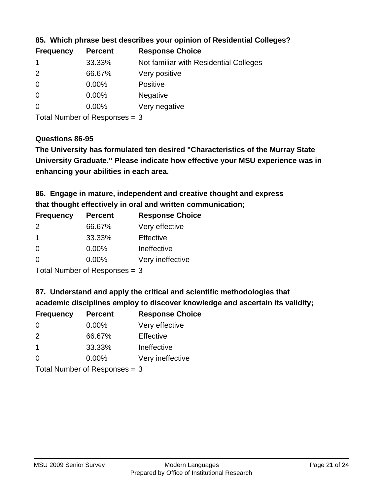| <b>Frequency</b> | <b>Percent</b> | <b>Response Choice</b>                 |
|------------------|----------------|----------------------------------------|
|                  | 33.33%         | Not familiar with Residential Colleges |
| 2                | 66.67%         | Very positive                          |
| -0               | $0.00\%$       | <b>Positive</b>                        |
| $\overline{0}$   | $0.00\%$       | <b>Negative</b>                        |
| 0                | $0.00\%$       | Very negative                          |

**85. Which phrase best describes your opinion of Residential Colleges?**

Total Number of Responses = 3

#### **Questions 86-95**

**University Graduate." Please indicate how effective your MSU experience was in The University has formulated ten desired "Characteristics of the Murray State enhancing your abilities in each area.**

**86. Engage in mature, independent and creative thought and express that thought effectively in oral and written communication;**

| <b>Frequency</b> | <b>Percent</b> | <b>Response Choice</b> |
|------------------|----------------|------------------------|
| 2                | 66.67%         | Very effective         |
| -1               | 33.33%         | Effective              |
| $\Omega$         | $0.00\%$       | Ineffective            |
| O                | $0.00\%$       | Very ineffective       |

Total Number of Responses = 3

**87. Understand and apply the critical and scientific methodologies that** 

**academic disciplines employ to discover knowledge and ascertain its validity;**

| <b>Frequency</b> | <b>Percent</b> | <b>Response Choice</b> |
|------------------|----------------|------------------------|
| 0                | 0.00%          | Very effective         |
| $\mathcal{P}$    | 66.67%         | Effective              |
| $\overline{1}$   | 33.33%         | Ineffective            |
| $\Omega$         | 0.00%          | Very ineffective       |
|                  |                |                        |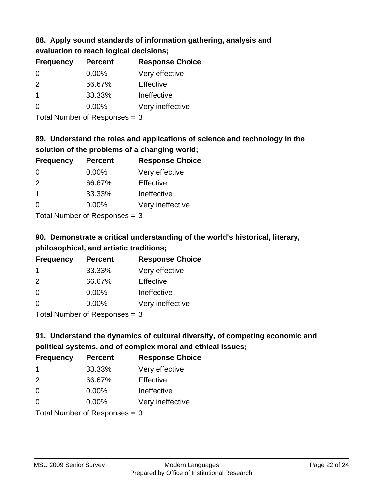# **88. Apply sound standards of information gathering, analysis and evaluation to reach logical decisions;**

| <b>Frequency</b>        | <b>Percent</b> | <b>Response Choice</b> |
|-------------------------|----------------|------------------------|
| $\Omega$                | $0.00\%$       | Very effective         |
| $\mathcal{P}$           | 66.67%         | Effective              |
| $\overline{\mathbf{1}}$ | 33.33%         | Ineffective            |
| $\Omega$                | $0.00\%$       | Very ineffective       |
|                         |                |                        |

Total Number of Responses = 3

# **89. Understand the roles and applications of science and technology in the solution of the problems of a changing world;**

| <b>Frequency</b> | <b>Percent</b>                           | <b>Response Choice</b> |
|------------------|------------------------------------------|------------------------|
| $\Omega$         | $0.00\%$                                 | Very effective         |
| $\mathcal{P}$    | 66.67%                                   | Effective              |
| $\mathbf 1$      | 33.33%                                   | Ineffective            |
| $\Omega$         | $0.00\%$                                 | Very ineffective       |
|                  | $T$ at all Message and $D$ are a serious |                        |

Total Number of Responses = 3

# **90. Demonstrate a critical understanding of the world's historical, literary, philosophical, and artistic traditions;**

| <b>Frequency</b> | <b>Percent</b> | <b>Response Choice</b> |
|------------------|----------------|------------------------|
| -1               | 33.33%         | Very effective         |
| $\mathcal{P}$    | 66.67%         | Effective              |
| $\Omega$         | 0.00%          | Ineffective            |
| $\Omega$         | 0.00%          | Very ineffective       |
|                  |                |                        |

Total Number of Responses = 3

# **91. Understand the dynamics of cultural diversity, of competing economic and political systems, and of complex moral and ethical issues;**

| <b>Frequency</b> | <b>Percent</b>                  | <b>Response Choice</b> |
|------------------|---------------------------------|------------------------|
| -1               | 33.33%                          | Very effective         |
| 2                | 66.67%                          | Effective              |
| $\Omega$         | 0.00%                           | Ineffective            |
| $\Omega$         | $0.00\%$                        | Very ineffective       |
|                  | Total Number of Responses = $3$ |                        |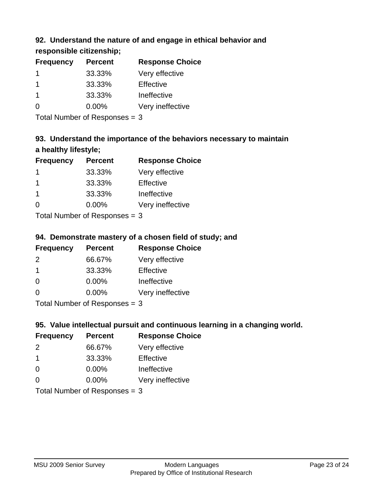### **92. Understand the nature of and engage in ethical behavior and**

**responsible citizenship;**

| <b>Percent</b> | <b>Response Choice</b> |
|----------------|------------------------|
| 33.33%         | Very effective         |
| 33.33%         | Effective              |
| 33.33%         | Ineffective            |
| $0.00\%$       | Very ineffective       |
|                |                        |

Total Number of Responses = 3

# **93. Understand the importance of the behaviors necessary to maintain a healthy lifestyle;**

| <b>Frequency</b> | <b>Percent</b>             | <b>Response Choice</b> |
|------------------|----------------------------|------------------------|
|                  | 33.33%                     | Very effective         |
| -1               | 33.33%                     | Effective              |
| $\mathbf 1$      | 33.33%                     | Ineffective            |
| $\Omega$         | $0.00\%$                   | Very ineffective       |
|                  | Total Number of Desperance |                        |

Total Number of Responses = 3

### **94. Demonstrate mastery of a chosen field of study; and**

| <b>Frequency</b> | <b>Percent</b> | <b>Response Choice</b> |
|------------------|----------------|------------------------|
| $\mathcal{P}$    | 66.67%         | Very effective         |
|                  | 33.33%         | Effective              |
| $\Omega$         | $0.00\%$       | Ineffective            |
| O                | $0.00\%$       | Very ineffective       |
|                  |                |                        |

Total Number of Responses = 3

### **95. Value intellectual pursuit and continuous learning in a changing world.**

| <b>Frequency</b> | <b>Percent</b> | <b>Response Choice</b> |
|------------------|----------------|------------------------|
| $\mathcal{P}$    | 66.67%         | Very effective         |
| $\overline{1}$   | 33.33%         | Effective              |
| $\Omega$         | 0.00%          | Ineffective            |
| ∩                | 0.00%          | Very ineffective       |
|                  |                |                        |